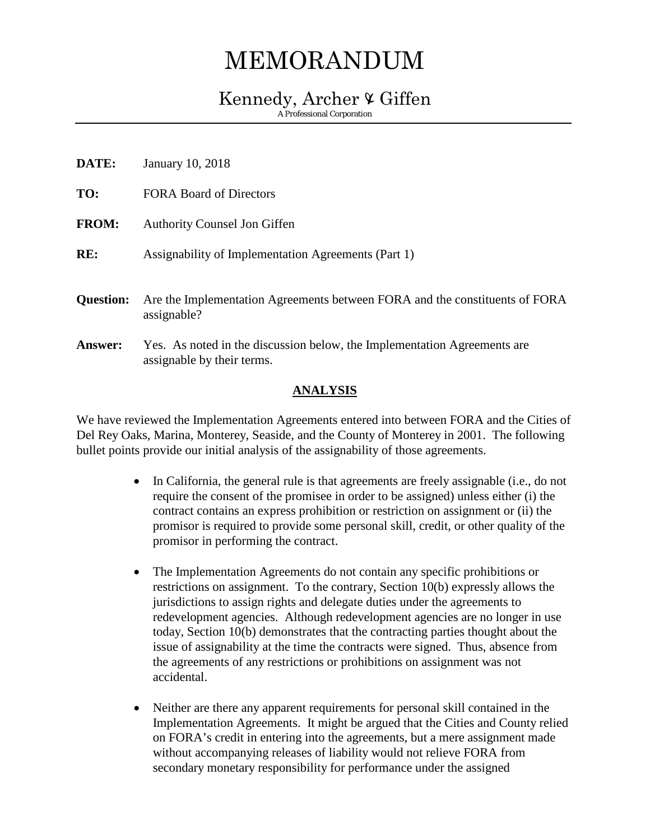## MEMORANDUM

## Kennedy, Archer  $\mathfrak V$  Giffen

A Professional Corporation

| January 10, 2018                                                                                       |
|--------------------------------------------------------------------------------------------------------|
| <b>FORA Board of Directors</b>                                                                         |
| <b>Authority Counsel Jon Giffen</b>                                                                    |
| Assignability of Implementation Agreements (Part 1)                                                    |
| Are the Implementation Agreements between FORA and the constituents of FORA<br>assignable?             |
| Yes. As noted in the discussion below, the Implementation Agreements are<br>assignable by their terms. |
|                                                                                                        |

## **ANALYSIS**

We have reviewed the Implementation Agreements entered into between FORA and the Cities of Del Rey Oaks, Marina, Monterey, Seaside, and the County of Monterey in 2001. The following bullet points provide our initial analysis of the assignability of those agreements.

- In California, the general rule is that agreements are freely assignable (i.e., do not require the consent of the promisee in order to be assigned) unless either (i) the contract contains an express prohibition or restriction on assignment or (ii) the promisor is required to provide some personal skill, credit, or other quality of the promisor in performing the contract.
- The Implementation Agreements do not contain any specific prohibitions or restrictions on assignment. To the contrary, Section 10(b) expressly allows the jurisdictions to assign rights and delegate duties under the agreements to redevelopment agencies. Although redevelopment agencies are no longer in use today, Section 10(b) demonstrates that the contracting parties thought about the issue of assignability at the time the contracts were signed. Thus, absence from the agreements of any restrictions or prohibitions on assignment was not accidental.
- Neither are there any apparent requirements for personal skill contained in the Implementation Agreements. It might be argued that the Cities and County relied on FORA's credit in entering into the agreements, but a mere assignment made without accompanying releases of liability would not relieve FORA from secondary monetary responsibility for performance under the assigned